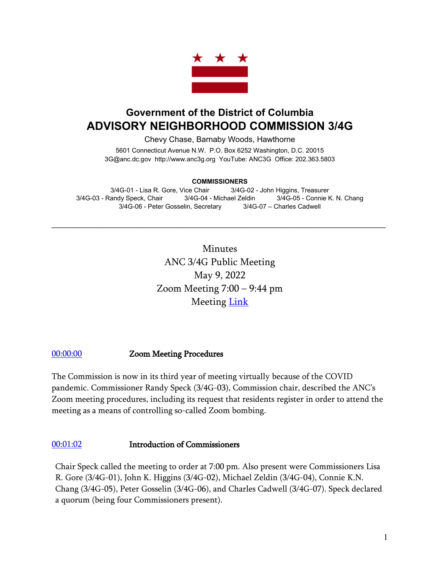

# **Government of the District of Columbia ADVISORY NEIGHBORHOOD COMMISSION 3/4G**

Chevy Chase, Barnaby Woods, Hawthorne

5601 Connecticut Avenue N.W. P.O. Box 6252 Washington, D.C. 20015 3G@anc.dc.gov [http://www.anc3g.org](http://www.anc3g.org/) YouTube: ANC3G Office: 202.363.5803

#### **COMMISSIONERS**

3/4G-01 - Lisa R. Gore, Vice Chair 3/4G-02 - John Higgins, Treasurer 3/4G-03 - Randy Speck, Chair 3/4G-04 - Michael Zeldin 3/4G-05 - Connie K. N. Chang 3/4G-06 - Peter Gosselin, Secretary 3/4G-07 – Charles Cadwell

 $\mathcal{L}_\text{max}$  and  $\mathcal{L}_\text{max}$  and  $\mathcal{L}_\text{max}$  and  $\mathcal{L}_\text{max}$  and  $\mathcal{L}_\text{max}$  and  $\mathcal{L}_\text{max}$ 

Minutes ANC 3/4G Public Meeting May 9, 2022 Zoom Meeting 7:00 – 9:44 pm Meeting **Link** 

### [00:00:00](https://www.youtube.com/watch?v=IwecQ838Wl8) Zoom Meeting Procedures

The Commission is now in its third year of meeting virtually because of the COVID pandemic. Commissioner Randy Speck (3/4G-03), Commission chair, described the ANC's Zoom meeting procedures, including its request that residents register in order to attend the meeting as a means of controlling so-called Zoom bombing.

#### [00:01:02](https://www.youtube.com/watch?v=IwecQ838Wl8&t=62s) Introduction of Commissioners

Chair Speck called the meeting to order at 7:00 pm. Also present were Commissioners Lisa R. Gore (3/4G-01), John K. Higgins (3/4G-02), Michael Zeldin (3/4G-04), Connie K.N. Chang (3/4G-05), Peter Gosselin (3/4G-06), and Charles Cadwell (3/4G-07). Speck declared a quorum (being four Commissioners present).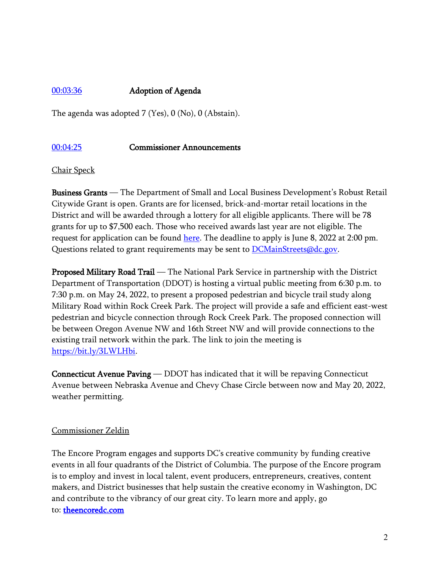### [00:03:36](https://www.youtube.com/watch?v=IwecQ838Wl8&t=216s) Adoption of Agenda

The agenda was adopted 7 (Yes), 0 (No), 0 (Abstain).

#### [00:04:25](https://www.youtube.com/watch?v=IwecQ838Wl8&t=265s) Commissioner Announcements

Chair Speck

Business Grants — The Department of Small and Local Business Development's Robust Retail Citywide Grant is open. Grants are for licensed, brick-and-mortar retail locations in the District and will be awarded through a lottery for all eligible applicants. There will be 78 grants for up to \$7,500 each. Those who received awards last year are not eligible. The request for application can be found [here.](https://dslbd.dc.gov/2022-robust-retail-citywide-grants) The deadline to apply is June 8, 2022 at 2:00 pm. Questions related to grant requirements may be sent to **DCMainStreets@dc.gov**.

Proposed Military Road Trail — The National Park Service in partnership with the District Department of Transportation (DDOT) is hosting a virtual public meeting from 6:30 p.m. to 7:30 p.m. on May 24, 2022, to present a proposed pedestrian and bicycle trail study along Military Road within Rock Creek Park. The project will provide a safe and efficient east-west pedestrian and bicycle connection through Rock Creek Park. The proposed connection will be between Oregon Avenue NW and 16th Street NW and will provide connections to the existing trail network within the park. The link to join the meeting is [https://bit.ly/3LWLHbi.](https://bit.ly/3LWLHbi)

Connecticut Avenue Paving — DDOT has indicated that it will be repaving Connecticut Avenue between Nebraska Avenue and Chevy Chase Circle between now and May 20, 2022, weather permitting.

#### Commissioner Zeldin

The Encore Program engages and supports DC's creative community by funding creative events in all four quadrants of the District of Columbia. The purpose of the Encore program is to employ and invest in local talent, event producers, entrepreneurs, creatives, content makers, and District businesses that help sustain the creative economy in Washington, DC and contribute to the vibrancy of our great city. To learn more and apply, go to: [theencoredc.com](https://u10397195.ct.sendgrid.net/ls/click?upn=nDwJ8PAPRzsBPdXkLNb1JfwxXP2fT1YDdiuw0KG1cSbtpABg-2BfMuDL38wMBp1zvJUqG0_E8MQvcZQYKSpP6YaKVKmp337EGXo53Wff2Fon492aUxhtI-2FL3fmdMzyvN0zyE3zwhH5zK6n-2B2XtcW0L5y2e3WJVT4Ce6lMNZJCoJ5wsL5vCgSLGqf7h03lkNO5S4NPtmv1X7VTuCZOQrvWLwD2tOGp-2Bu9hAzu9Ho6pWTslihzcoq9PjSk-2FYNys84LD7WNS5Be6fJDWBb-2FT6S5saVu0OThBAUG0YoQOfW2q0LEGEk5oeH9gpoAC1CmHNvC4CIumEOrN-2FIV4asronKMc25wlw4oU2PdXR7RmXVMKSopb4MfDNpGIlZ9iYQ4eOzoezWRXYR)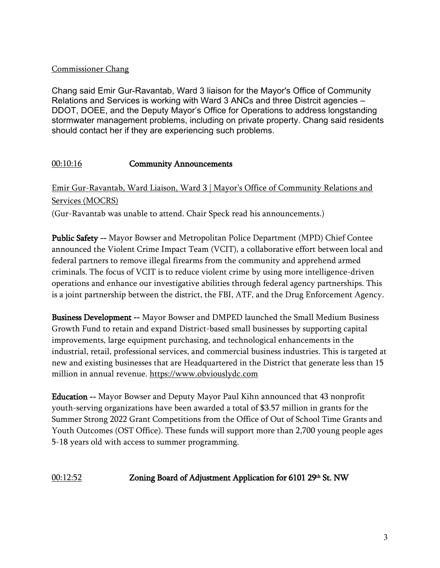### Commissioner Chang

Chang said Emir Gur-Ravantab, Ward 3 liaison for the Mayor's Office of Community Relations and Services is working with Ward 3 ANCs and three Distrcit agencies – DDOT, DOEE, and the Deputy Mayor's Office for Operations to address longstanding stormwater management problems, including on private property. Chang said residents should contact her if they are experiencing such problems.

## [00:10:16](https://www.youtube.com/watch?v=IwecQ838Wl8&t=616s) Community Announcements

Emir Gur-Ravantab, Ward Liaison, Ward 3 | Mayor's Office of Community Relations and Services (MOCRS)

(Gur-Ravantab was unable to attend. Chair Speck read his announcements.)

Public Safety -- Mayor Bowser and Metropolitan Police Department (MPD) Chief Contee announced the Violent Crime Impact Team (VCIT), a collaborative effort between local and federal partners to remove illegal firearms from the community and apprehend armed criminals. The focus of VCIT is to reduce violent crime by using more intelligence-driven operations and enhance our investigative abilities through federal agency partnerships. This is a joint partnership between the district, the FBI, ATF, and the Drug Enforcement Agency.

Business Development -- Mayor Bowser and DMPED launched the Small Medium Business Growth Fund to retain and expand District-based small businesses by supporting capital improvements, large equipment purchasing, and technological enhancements in the industrial, retail, professional services, and commercial business industries. This is targeted at new and existing businesses that are Headquartered in the District that generate less than 15 million in annual revenue. [https://www.obviouslydc.com](https://www.obviouslydc.com/) 

Education -- Mayor Bowser and Deputy Mayor Paul Kihn announced that 43 nonprofit youth-serving organizations have been awarded a total of \$3.57 million in grants for the Summer Strong 2022 Grant Competitions from the Office of Out of School Time Grants and Youth Outcomes (OST Office). These funds will support more than 2,700 young people ages 5-18 years old with access to summer programming.

# [00:12:52](https://www.youtube.com/watch?v=IwecQ838Wl8&t=772s) Zoning Board of Adjustment Application for 6101 29<sup>th</sup> St. NW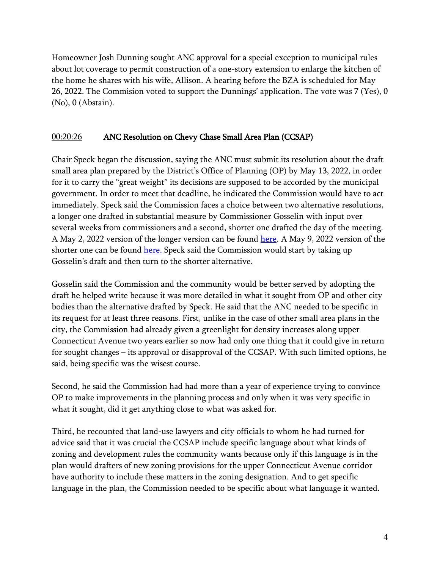Homeowner Josh Dunning sought ANC approval for a special exception to municipal rules about lot coverage to permit construction of a one-story extension to enlarge the kitchen of the home he shares with his wife, Allison. A hearing before the BZA is scheduled for May 26, 2022. The Commision voted to support the Dunnings' application. The vote was 7 (Yes), 0 (No), 0 (Abstain).

### [00:20:26](https://www.youtube.com/watch?v=IwecQ838Wl8&t=1226s) ANC Resolution on Chevy Chase Small Area Plan (CCSAP)

Chair Speck began the discussion, saying the ANC must submit its resolution about the draft small area plan prepared by the District's Office of Planning (OP) by May 13, 2022, in order for it to carry the "great weight" its decisions are supposed to be accorded by the municipal government. In order to meet that deadline, he indicated the Commission would have to act immediately. Speck said the Commission faces a choice between two alternative resolutions, a longer one drafted in substantial measure by Commissioner Gosselin with input over several weeks from commissioners and a second, shorter one drafted the day of the meeting. A May 2, 2022 version of the longer version can be found [here.](https://anc3g.org/wp-content/uploads/2022/05/draft-SAP-resolution-WORKING-COPY-draft-5-2-22.pdf) A May 9, 2022 version of the shorter one can be found [here.](https://anc3g.org/wp-content/uploads/2022/05/ANC-34G-Resolution-on-SAP-5-9-22-RS-clean.pdf) Speck said the Commission would start by taking up Gosselin's draft and then turn to the shorter alternative.

Gosselin said the Commission and the community would be better served by adopting the draft he helped write because it was more detailed in what it sought from OP and other city bodies than the alternative drafted by Speck. He said that the ANC needed to be specific in its request for at least three reasons. First, unlike in the case of other small area plans in the city, the Commission had already given a greenlight for density increases along upper Connecticut Avenue two years earlier so now had only one thing that it could give in return for sought changes – its approval or disapproval of the CCSAP. With such limited options, he said, being specific was the wisest course.

Second, he said the Commission had had more than a year of experience trying to convince OP to make improvements in the planning process and only when it was very specific in what it sought, did it get anything close to what was asked for.

Third, he recounted that land-use lawyers and city officials to whom he had turned for advice said that it was crucial the CCSAP include specific language about what kinds of zoning and development rules the community wants because only if this language is in the plan would drafters of new zoning provisions for the upper Connecticut Avenue corridor have authority to include these matters in the zoning designation. And to get specific language in the plan, the Commission needed to be specific about what language it wanted.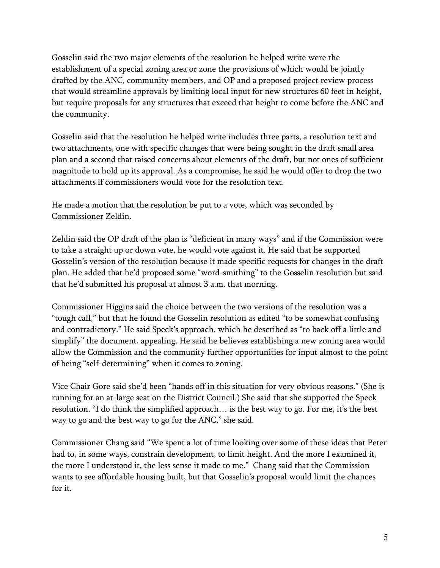Gosselin said the two major elements of the resolution he helped write were the establishment of a special zoning area or zone the provisions of which would be jointly drafted by the ANC, community members, and OP and a proposed project review process that would streamline approvals by limiting local input for new structures 60 feet in height, but require proposals for any structures that exceed that height to come before the ANC and the community.

Gosselin said that the resolution he helped write includes three parts, a resolution text and two attachments, one with specific changes that were being sought in the draft small area plan and a second that raised concerns about elements of the draft, but not ones of sufficient magnitude to hold up its approval. As a compromise, he said he would offer to drop the two attachments if commissioners would vote for the resolution text.

He made a motion that the resolution be put to a vote, which was seconded by Commissioner Zeldin.

Zeldin said the OP draft of the plan is "deficient in many ways" and if the Commission were to take a straight up or down vote, he would vote against it. He said that he supported Gosselin's version of the resolution because it made specific requests for changes in the draft plan. He added that he'd proposed some "word-smithing" to the Gosselin resolution but said that he'd submitted his proposal at almost 3 a.m. that morning.

Commissioner Higgins said the choice between the two versions of the resolution was a "tough call," but that he found the Gosselin resolution as edited "to be somewhat confusing and contradictory." He said Speck's approach, which he described as "to back off a little and simplify" the document, appealing. He said he believes establishing a new zoning area would allow the Commission and the community further opportunities for input almost to the point of being "self-determining" when it comes to zoning.

Vice Chair Gore said she'd been "hands off in this situation for very obvious reasons." (She is running for an at-large seat on the District Council.) She said that she supported the Speck resolution. "I do think the simplified approach… is the best way to go. For me, it's the best way to go and the best way to go for the ANC," she said.

Commissioner Chang said "We spent a lot of time looking over some of these ideas that Peter had to, in some ways, constrain development, to limit height. And the more I examined it, the more I understood it, the less sense it made to me." Chang said that the Commission wants to see affordable housing built, but that Gosselin's proposal would limit the chances for it.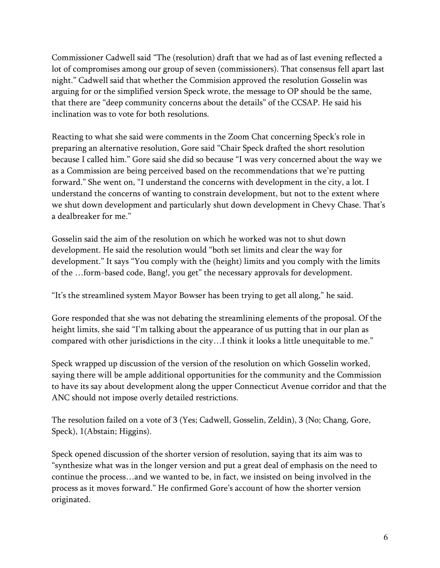Commissioner Cadwell said "The (resolution) draft that we had as of last evening reflected a lot of compromises among our group of seven (commissioners). That consensus fell apart last night." Cadwell said that whether the Commision approved the resolution Gosselin was arguing for or the simplified version Speck wrote, the message to OP should be the same, that there are "deep community concerns about the details" of the CCSAP. He said his inclination was to vote for both resolutions.

Reacting to what she said were comments in the Zoom Chat concerning Speck's role in preparing an alternative resolution, Gore said "Chair Speck drafted the short resolution because I called him." Gore said she did so because "I was very concerned about the way we as a Commission are being perceived based on the recommendations that we're putting forward." She went on, "I understand the concerns with development in the city, a lot. I understand the concerns of wanting to constrain development, but not to the extent where we shut down development and particularly shut down development in Chevy Chase. That's a dealbreaker for me."

Gosselin said the aim of the resolution on which he worked was not to shut down development. He said the resolution would "both set limits and clear the way for development." It says "You comply with the (height) limits and you comply with the limits of the …form-based code, Bang!, you get" the necessary approvals for development.

"It's the streamlined system Mayor Bowser has been trying to get all along," he said.

Gore responded that she was not debating the streamlining elements of the proposal. Of the height limits, she said "I'm talking about the appearance of us putting that in our plan as compared with other jurisdictions in the city…I think it looks a little unequitable to me."

Speck wrapped up discussion of the version of the resolution on which Gosselin worked, saying there will be ample additional opportunities for the community and the Commission to have its say about development along the upper Connecticut Avenue corridor and that the ANC should not impose overly detailed restrictions.

The resolution failed on a vote of 3 (Yes; Cadwell, Gosselin, Zeldin), 3 (No; Chang, Gore, Speck), 1(Abstain; Higgins).

Speck opened discussion of the shorter version of resolution, saying that its aim was to "synthesize what was in the longer version and put a great deal of emphasis on the need to continue the process…and we wanted to be, in fact, we insisted on being involved in the process as it moves forward." He confirmed Gore's account of how the shorter version originated.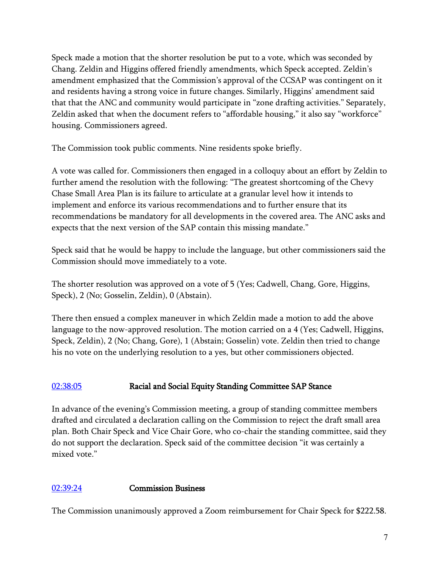Speck made a motion that the shorter resolution be put to a vote, which was seconded by Chang. Zeldin and Higgins offered friendly amendments, which Speck accepted. Zeldin's amendment emphasized that the Commission's approval of the CCSAP was contingent on it and residents having a strong voice in future changes. Similarly, Higgins' amendment said that that the ANC and community would participate in "zone drafting activities." Separately, Zeldin asked that when the document refers to "affordable housing," it also say "workforce" housing. Commissioners agreed.

The Commission took public comments. Nine residents spoke briefly.

A vote was called for. Commissioners then engaged in a colloquy about an effort by Zeldin to further amend the resolution with the following: "The greatest shortcoming of the Chevy Chase Small Area Plan is its failure to articulate at a granular level how it intends to implement and enforce its various recommendations and to further ensure that its recommendations be mandatory for all developments in the covered area. The ANC asks and expects that the next version of the SAP contain this missing mandate."

Speck said that he would be happy to include the language, but other commissioners said the Commission should move immediately to a vote.

The shorter resolution was approved on a vote of 5 (Yes; Cadwell, Chang, Gore, Higgins, Speck), 2 (No; Gosselin, Zeldin), 0 (Abstain).

There then ensued a complex maneuver in which Zeldin made a motion to add the above language to the now-approved resolution. The motion carried on a 4 (Yes; Cadwell, Higgins, Speck, Zeldin), 2 (No; Chang, Gore), 1 (Abstain; Gosselin) vote. Zeldin then tried to change his no vote on the underlying resolution to a yes, but other commissioners objected.

# [02:38:05](https://www.youtube.com/watch?v=IwecQ838Wl8&t=9485s) Racial and Social Equity Standing Committee SAP Stance

In advance of the evening's Commission meeting, a group of standing committee members drafted and circulated a declaration calling on the Commission to reject the draft small area plan. Both Chair Speck and Vice Chair Gore, who co-chair the standing committee, said they do not support the declaration. Speck said of the committee decision "it was certainly a mixed vote."

### [02:39:24](https://www.youtube.com/watch?v=IwecQ838Wl8&t=9564s) Commission Business

The Commission unanimously approved a Zoom reimbursement for Chair Speck for \$222.58.